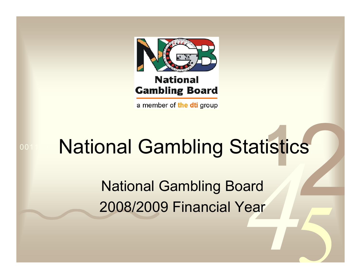

a member of the dti group

## 001 001 N2TION2L (52 M National Gamblin g Statistics

National Gamblin g Board 2008/2009 Financial Year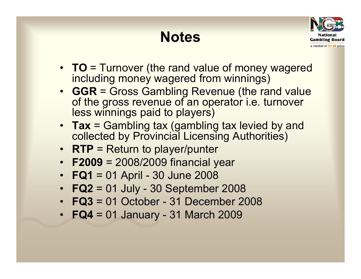## **Notes**



- **TO** = Turnover (the rand value of money wagered including money wagered from winnings)
- **GGR** = Gross Gambling Revenue (the rand value of the gross revenue of an operator *i.e.* turnover less winnings paid to players)
- Tax = Gambling tax (gambling tax levied by and collected by Provincial Licensing Authorities)
- **RTP** = Return to player/punter
- **F2009** = 2008/2009 financial year
- **FQ1** = 01 April 30 June 2008
- **FQ2** <sup>=</sup> 01 July 30 September 2008
- **FQ3** = 01 October 31 December 2008
- **FQ4** = 01 January 31 March 2009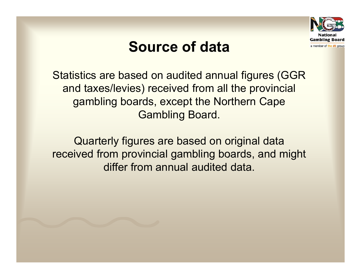

## **Source of data**

Statistics are based on audited annual figures (GGR and taxes/levies) received from all the provincial gambling boards, except the Northern Cape Gambling Board.

Quarterly figures are based on original data received from provincial gambling boards, and might differ from annual audited data.